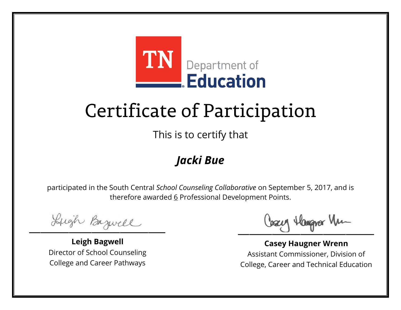

This is to certify that

### *Jacki Bue*

Lugh Bazwell

**Leigh Bagwell** Director of School Counseling College and Career Pathways

Lizery Hangyar Mu

**Casey Haugner Wrenn** Assistant Commissioner, Division of College, Career and Technical Education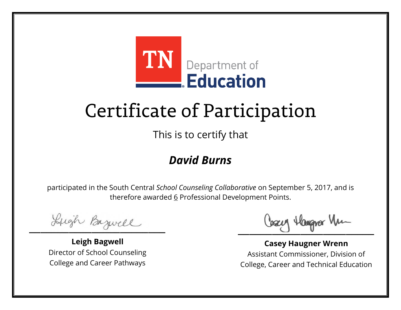

This is to certify that

#### *David Burns*

Lugh Bazwell

**Leigh Bagwell** Director of School Counseling College and Career Pathways

Lizery Hangyar Mu

**Casey Haugner Wrenn** Assistant Commissioner, Division of College, Career and Technical Education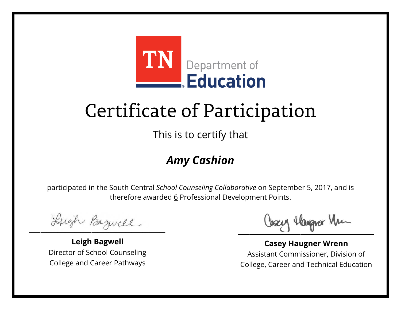

This is to certify that

### *Amy Cashion*

Lugh Bazwell

**Leigh Bagwell** Director of School Counseling College and Career Pathways

Lizery Hangyar Mu

**Casey Haugner Wrenn** Assistant Commissioner, Division of College, Career and Technical Education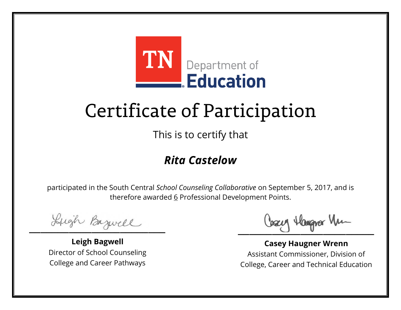

This is to certify that

#### *Rita Castelow*

Lugh Bazwell

**Leigh Bagwell** Director of School Counseling College and Career Pathways

Lizery Hangyar Mu

**Casey Haugner Wrenn** Assistant Commissioner, Division of College, Career and Technical Education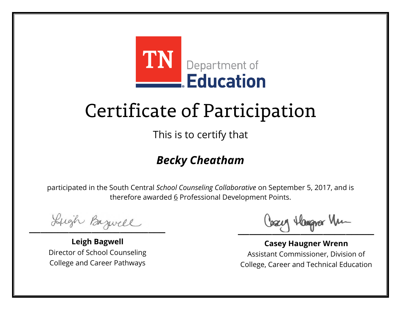

This is to certify that

### *Becky Cheatham*

Lugh Bazwell

**Leigh Bagwell** Director of School Counseling College and Career Pathways

Cosey Hangra Vm

**Casey Haugner Wrenn** Assistant Commissioner, Division of College, Career and Technical Education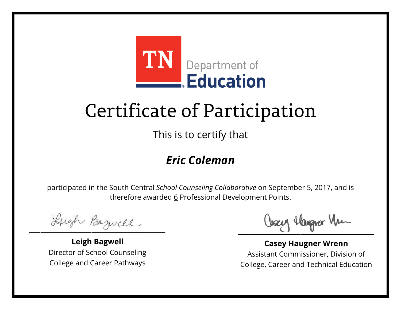

This is to certify that

#### *Eric Coleman*

Lugh Bazwell

**Leigh Bagwell** Director of School Counseling College and Career Pathways

Lizery Hangyar Mu

**Casey Haugner Wrenn** Assistant Commissioner, Division of College, Career and Technical Education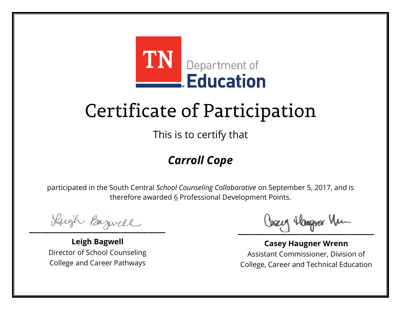

This is to certify that

### *Carroll Cope*

Lugh Bazwell

**Leigh Bagwell** Director of School Counseling College and Career Pathways

Lizery Hangyar Mu

**Casey Haugner Wrenn** Assistant Commissioner, Division of College, Career and Technical Education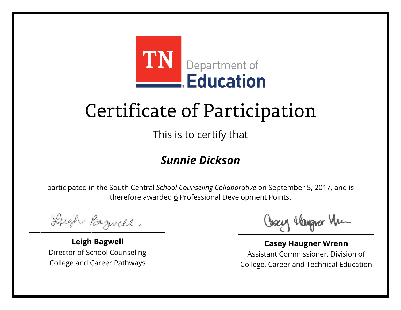

This is to certify that

#### *Sunnie Dickson*

Lugh Bazwell

**Leigh Bagwell** Director of School Counseling College and Career Pathways

Lizery Hangyar Mu

**Casey Haugner Wrenn** Assistant Commissioner, Division of College, Career and Technical Education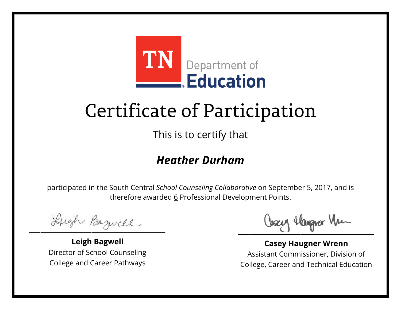

This is to certify that

#### *Heather Durham*

Lugh Bazwell

**Leigh Bagwell** Director of School Counseling College and Career Pathways

Cosey Hangra Vm

**Casey Haugner Wrenn** Assistant Commissioner, Division of College, Career and Technical Education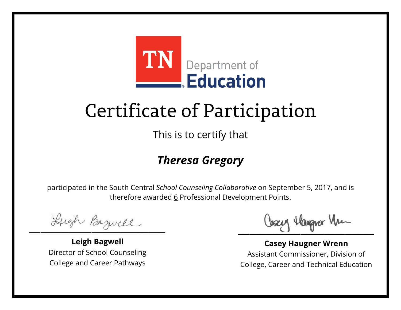

This is to certify that

#### *Theresa Gregory*

Lugh Bazwell

**Leigh Bagwell** Director of School Counseling College and Career Pathways

Cosey Hangra Vm

**Casey Haugner Wrenn** Assistant Commissioner, Division of College, Career and Technical Education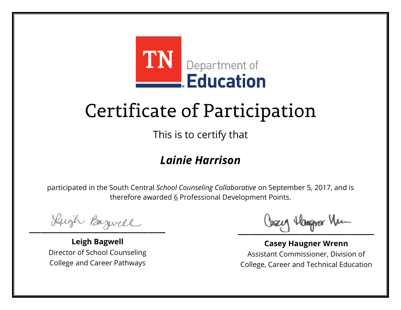

This is to certify that

#### *Lainie Harrison*

Lugh Bazwell

**Leigh Bagwell** Director of School Counseling College and Career Pathways

Cosey Hangra Vm

**Casey Haugner Wrenn** Assistant Commissioner, Division of College, Career and Technical Education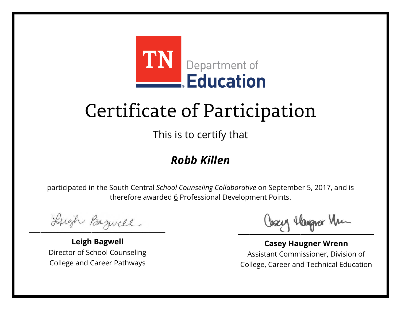

This is to certify that

### *Robb Killen*

Lugh Bazwell

**Leigh Bagwell** Director of School Counseling College and Career Pathways

Lizery Hangyar Mu

**Casey Haugner Wrenn** Assistant Commissioner, Division of College, Career and Technical Education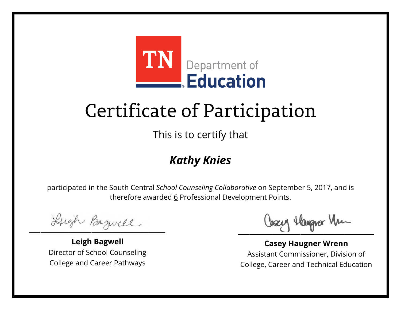

This is to certify that

### *Kathy Knies*

Lugh Bazwell

**Leigh Bagwell** Director of School Counseling College and Career Pathways

Lizery Hangyar Mu

**Casey Haugner Wrenn** Assistant Commissioner, Division of College, Career and Technical Education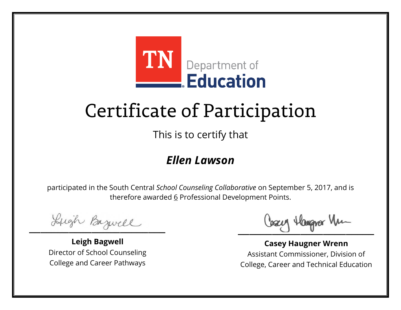

This is to certify that

#### *Ellen Lawson*

Lugh Bazwell

**Leigh Bagwell** Director of School Counseling College and Career Pathways

Lizery Hangyar Mu

**Casey Haugner Wrenn** Assistant Commissioner, Division of College, Career and Technical Education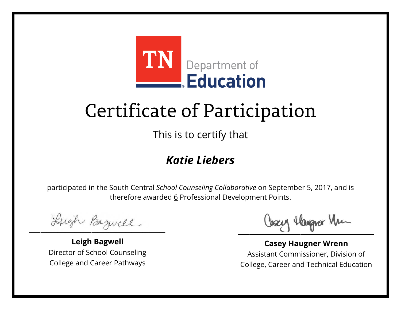

This is to certify that

#### *Katie Liebers*

Lugh Bazwell

**Leigh Bagwell** Director of School Counseling College and Career Pathways

Lizery Hangyar Mu

**Casey Haugner Wrenn** Assistant Commissioner, Division of College, Career and Technical Education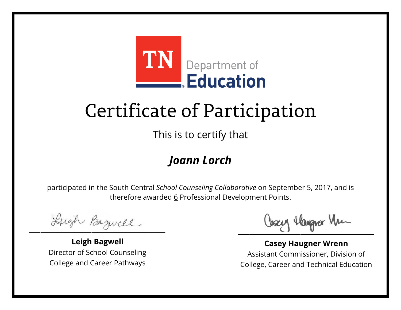

This is to certify that

#### *Joann Lorch*

Lugh Bazwell

**Leigh Bagwell** Director of School Counseling College and Career Pathways

Lizery Hangyar Mu

**Casey Haugner Wrenn** Assistant Commissioner, Division of College, Career and Technical Education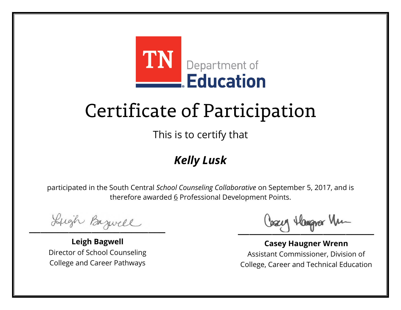

This is to certify that

### *Kelly Lusk*

Lugh Bazwell

**Leigh Bagwell** Director of School Counseling College and Career Pathways

Lizery Hangyar Mu

**Casey Haugner Wrenn** Assistant Commissioner, Division of College, Career and Technical Education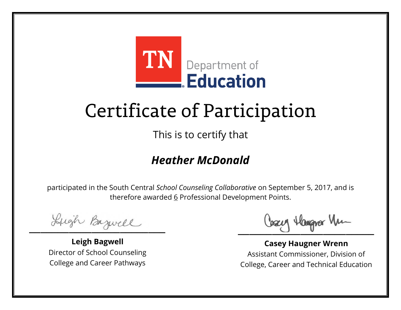

This is to certify that

#### *Heather McDonald*

Lugh Bazwell

**Leigh Bagwell** Director of School Counseling College and Career Pathways

Cosey Hangra Vm

**Casey Haugner Wrenn** Assistant Commissioner, Division of College, Career and Technical Education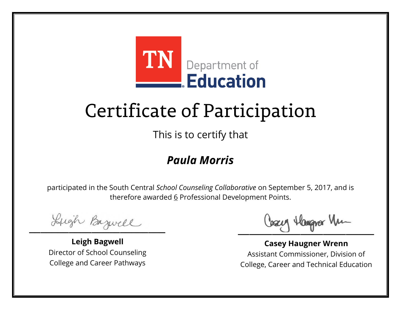

This is to certify that

#### *Paula Morris*

Lugh Bazwell

**Leigh Bagwell** Director of School Counseling College and Career Pathways

Lizery Hangyar Mu

**Casey Haugner Wrenn** Assistant Commissioner, Division of College, Career and Technical Education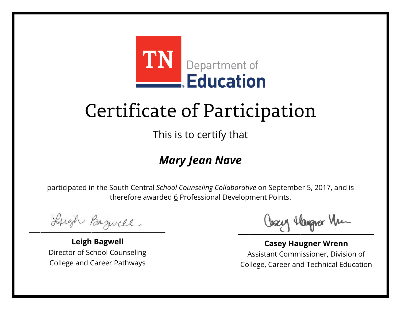

This is to certify that

### *Mary Jean Nave*

Lugh Bazwell

**Leigh Bagwell** Director of School Counseling College and Career Pathways

Cosey Hangra Vm

**Casey Haugner Wrenn** Assistant Commissioner, Division of College, Career and Technical Education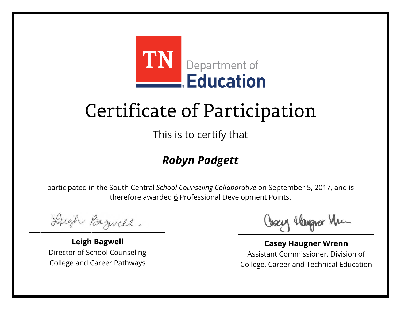

This is to certify that

### *Robyn Padgett*

Lugh Bazwell

**Leigh Bagwell** Director of School Counseling College and Career Pathways

Cosey Hangra Vm

**Casey Haugner Wrenn** Assistant Commissioner, Division of College, Career and Technical Education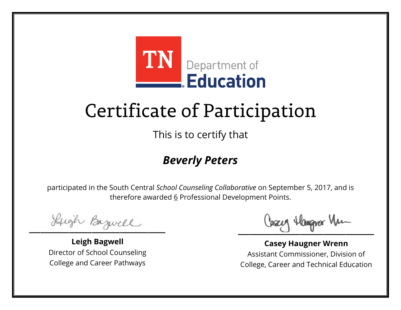

This is to certify that

#### *Beverly Peters*

Lugh Bazwell

**Leigh Bagwell** Director of School Counseling College and Career Pathways

Lizery Hangyar Mu

**Casey Haugner Wrenn** Assistant Commissioner, Division of College, Career and Technical Education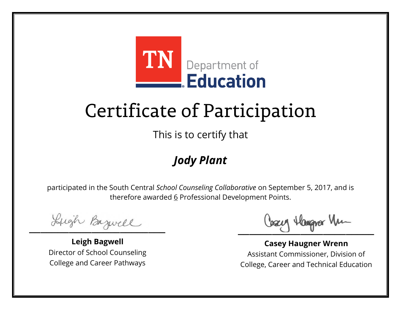

This is to certify that

### *Jody Plant*

Lugh Bazwell

**Leigh Bagwell** Director of School Counseling College and Career Pathways

Lizery Hangyar Mu

**Casey Haugner Wrenn** Assistant Commissioner, Division of College, Career and Technical Education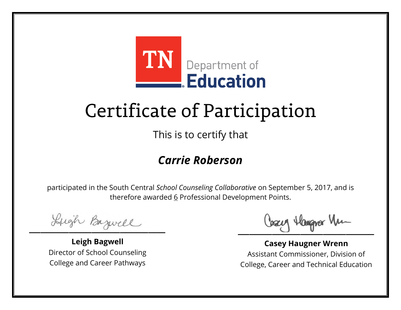

This is to certify that

#### *Carrie Roberson*

Lugh Bazwell

**Leigh Bagwell** Director of School Counseling College and Career Pathways

Cosey Hangra Vm

**Casey Haugner Wrenn** Assistant Commissioner, Division of College, Career and Technical Education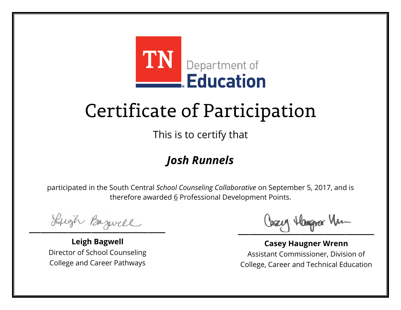

This is to certify that

### *Josh Runnels*

Lugh Bazwell

**Leigh Bagwell** Director of School Counseling College and Career Pathways

Lizery Hangyar Mu

**Casey Haugner Wrenn** Assistant Commissioner, Division of College, Career and Technical Education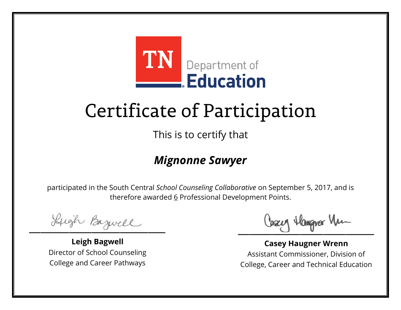

This is to certify that

#### *Mignonne Sawyer*

Lugh Bazwell

**Leigh Bagwell** Director of School Counseling College and Career Pathways

Cosey Hangra Vm

**Casey Haugner Wrenn** Assistant Commissioner, Division of College, Career and Technical Education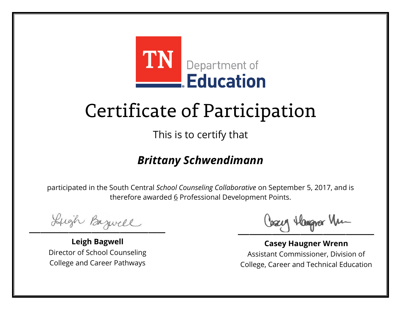

This is to certify that

#### *Brittany Schwendimann*

Lugh Bazwell

**Leigh Bagwell** Director of School Counseling College and Career Pathways

Cosey Hangra Vm

**Casey Haugner Wrenn** Assistant Commissioner, Division of College, Career and Technical Education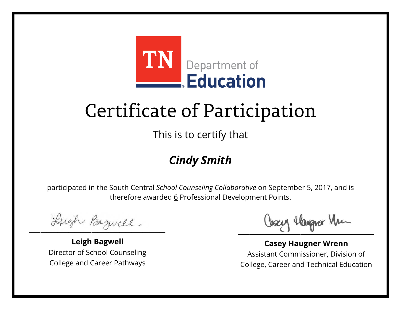

This is to certify that

### *Cindy Smith*

Lugh Bazwell

**Leigh Bagwell** Director of School Counseling College and Career Pathways

Lizery Hangyar Mu

**Casey Haugner Wrenn** Assistant Commissioner, Division of College, Career and Technical Education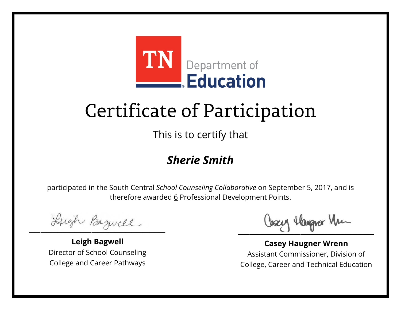

This is to certify that

#### *Sherie Smith*

Lugh Bazwell

**Leigh Bagwell** Director of School Counseling College and Career Pathways

Lizery Hangyar Mu

**Casey Haugner Wrenn** Assistant Commissioner, Division of College, Career and Technical Education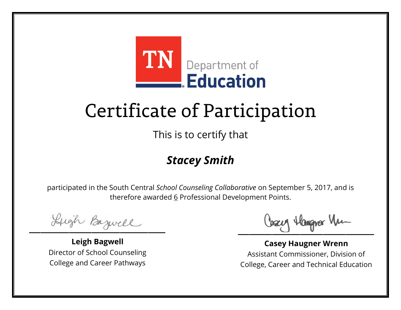

This is to certify that

### *Stacey Smith*

Lugh Bazwell

**Leigh Bagwell** Director of School Counseling College and Career Pathways

Lizery Hangyar Mu

**Casey Haugner Wrenn** Assistant Commissioner, Division of College, Career and Technical Education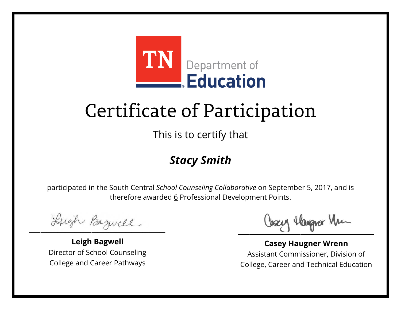

This is to certify that

#### *Stacy Smith*

Lugh Bazwell

**Leigh Bagwell** Director of School Counseling College and Career Pathways

Lizery Hangyar Mu

**Casey Haugner Wrenn** Assistant Commissioner, Division of College, Career and Technical Education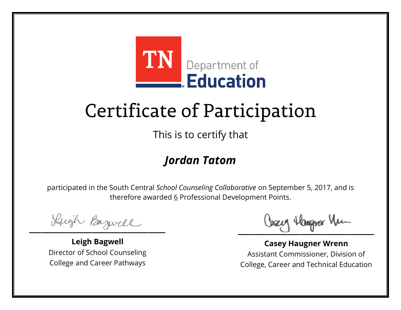

This is to certify that

#### *Jordan Tatom*

Lugh Bazwell

**Leigh Bagwell** Director of School Counseling College and Career Pathways

Cosey Hangra Vm

**Casey Haugner Wrenn** Assistant Commissioner, Division of College, Career and Technical Education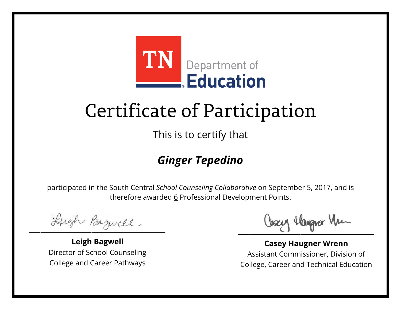

This is to certify that

### *Ginger Tepedino*

Lugh Bazwell

**Leigh Bagwell** Director of School Counseling College and Career Pathways

Cosey Hangra Vm

**Casey Haugner Wrenn** Assistant Commissioner, Division of College, Career and Technical Education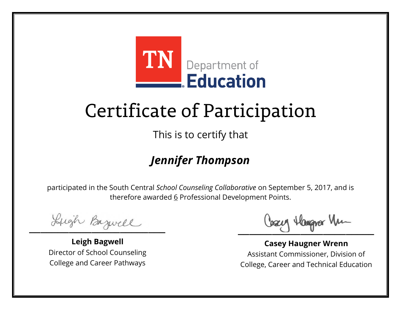

This is to certify that

### *Jennifer Thompson*

Lugh Bazwell

**Leigh Bagwell** Director of School Counseling College and Career Pathways

Cosey Hangra Vm

**Casey Haugner Wrenn** Assistant Commissioner, Division of College, Career and Technical Education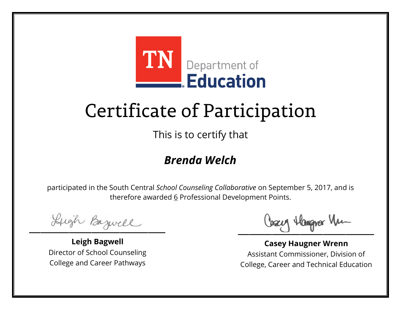

This is to certify that

#### *Brenda Welch*

Lugh Bazwell

**Leigh Bagwell** Director of School Counseling College and Career Pathways

Lizery Hangyar Mu

**Casey Haugner Wrenn** Assistant Commissioner, Division of College, Career and Technical Education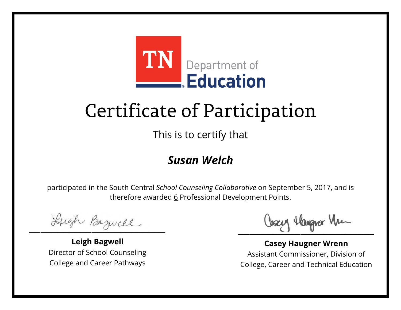

This is to certify that

#### *Susan Welch*

Lugh Bazwell

**Leigh Bagwell** Director of School Counseling College and Career Pathways

Lizery Hangyar Mu

**Casey Haugner Wrenn** Assistant Commissioner, Division of College, Career and Technical Education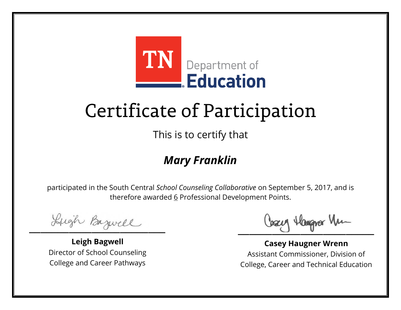

This is to certify that

#### *Mary Franklin*

Lugh Bazwell

**Leigh Bagwell** Director of School Counseling College and Career Pathways

Lizery Hangyar Mu

**Casey Haugner Wrenn** Assistant Commissioner, Division of College, Career and Technical Education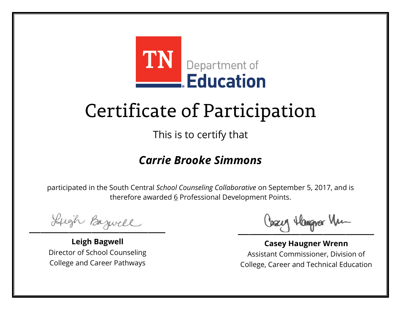

This is to certify that

#### *Carrie Brooke Simmons*

Lugh Bazwell

**Leigh Bagwell** Director of School Counseling College and Career Pathways

Cosey Hangra Vm

**Casey Haugner Wrenn** Assistant Commissioner, Division of College, Career and Technical Education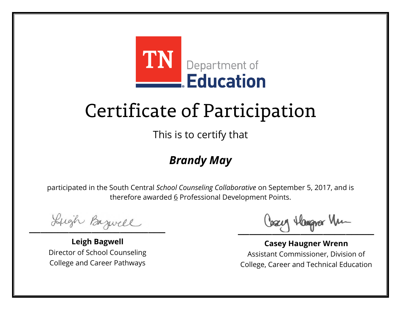

This is to certify that

### *Brandy May*

Lugh Bazwell

**Leigh Bagwell** Director of School Counseling College and Career Pathways

Lizery Hangyar Mu

**Casey Haugner Wrenn** Assistant Commissioner, Division of College, Career and Technical Education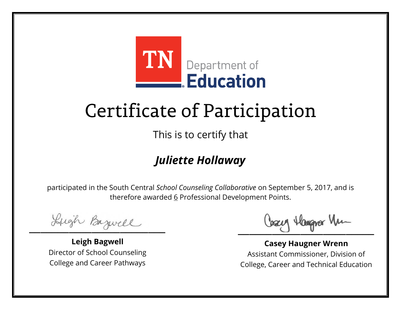

This is to certify that

### *Juliette Hollaway*

Lugh Bazwell

**Leigh Bagwell** Director of School Counseling College and Career Pathways

Cosey Hangra Vm

**Casey Haugner Wrenn** Assistant Commissioner, Division of College, Career and Technical Education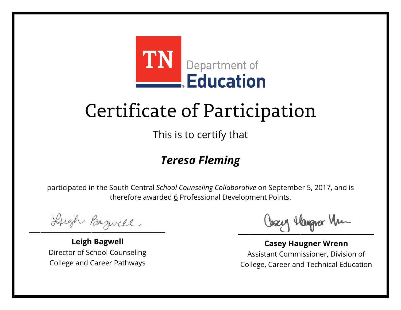

This is to certify that

#### *Teresa Fleming*

Lugh Bazwell

**Leigh Bagwell** Director of School Counseling College and Career Pathways

Cosey Hangra Vm

**Casey Haugner Wrenn** Assistant Commissioner, Division of College, Career and Technical Education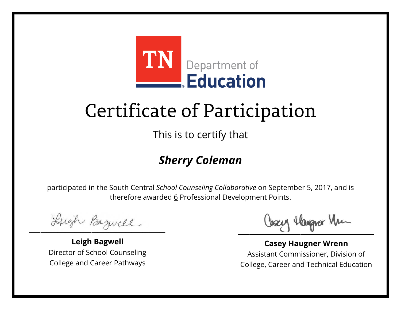

This is to certify that

### *Sherry Coleman*

Lugh Bazwell

**Leigh Bagwell** Director of School Counseling College and Career Pathways

Cosey Hangra Vm

**Casey Haugner Wrenn** Assistant Commissioner, Division of College, Career and Technical Education